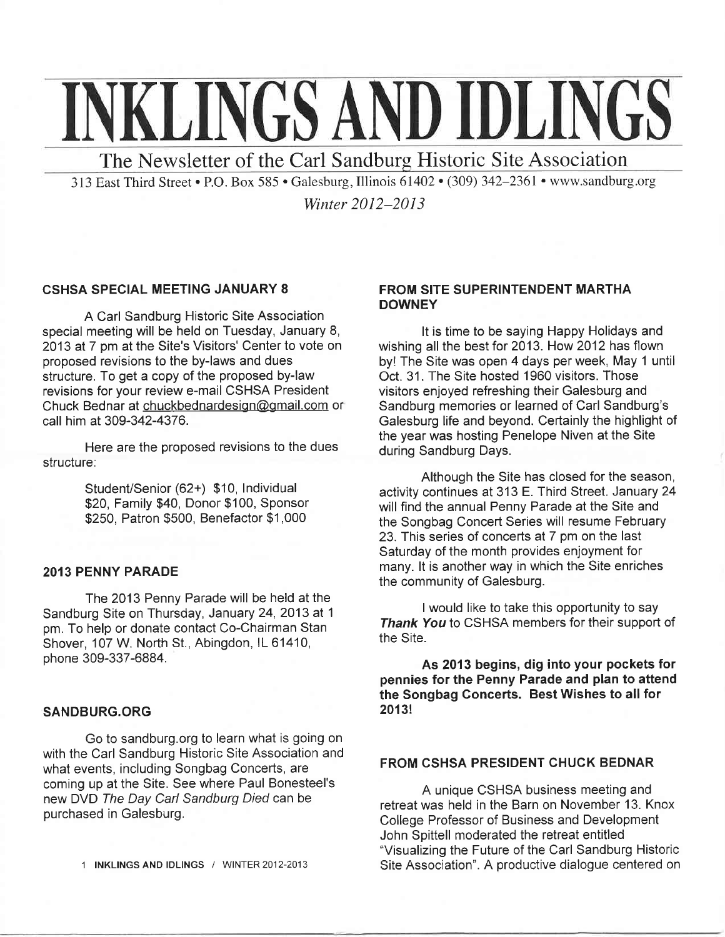# **INKLINGS AND IDLINGS**

The Newsletter of the Carl Sandburg Historic Site Association

313 East Third Street . P.O. Box 585 . Galesburg, Illinois 61402 . (309) 342–2361 . www.sandburg.org

Winter 2012–2013

## CSHSA SPECIAL MEETING JANUARY 8

A Carl Sandburg Historic Site Association special meeting will be held on Tuesday, January 8, 2013 at 7 pm at the Site's Visitors' Center to vote on proposed revisions to the by-laws and dues structure. To get a copy of the proposed by-law revisions for your review e-mail CSHSA President Chuck Bednar at chuckbednardesign@gmail.com or call him at 309-342-4376.

Here are the proposed revisions to the dues structure:

> Student/Senior (62+) \$10, lndividual \$20, Family \$40, Donor \$100, Sponsor \$250, Patron \$500, Benefactor \$1,000

#### 2OI3 PENNY PARADE

The 2013 Penny Parade will be held at the Sandburg Site on Thursday, January 24,2013 at <sup>1</sup> pm. To help or donate contact Co-Chairman Stan Shover, 107 W. North St., Abingdon, IL 61410, phone 309-337-6884.

#### SANDBURG.ORG

Go to sandburg.org to learn what is going on with the Carl Sandburg Historic Site Association and what events, including Songbag Concerts, are coming up at the Site. See where Paul Bonesteel's new DVD The Day Carl Sandburg Died can be purchased in Galesburg.

## FROM SITE SUPERINTENDENT MARTHA **DOWNEY**

It is time to be saying Happy Holidays and wishing all the best for 2013. How 2012 has flown by! The Site was open 4 days per week, May 1 until Oct. 31 . The Site hosted 1960 visitors. Those visitors enjoyed refreshing their Galesburg and Sandburg memories or learned of Carl Sandburg's Galesburg life and beyond. Certainly the highlight of the year was hosting Penelope Niven at the Site during Sandburg Days.

Although the Site has closed for the season, activity continues at 313 E. Third Street. January 24 will find the annual Penny Parade at the Site and the Songbag Concert Series will resume February 23. This series of concerts at 7 pm on the last Saturday of the month provides enjoyment for many. lt is another way in which the Site enriches the community of Galesburg.

I would like to take this opportunity to say Thank You to CSHSA members for their support of the Site.

As 2013 begins, dig into your pockets for pennies for the Penny Parade and plan to attend the Songbag Goncerts. Best Wishes to all for 20131

## FROM CSHSA PRESIDENT CHUCK BEDNAR

A unique CSHSA business meeting and retreat was held in the Barn on November 13. Knox College Professor of Business and Development John Spittell moderated the retreat entitled "Visualizing the Future of the Carl Sandburg Historic Site Association". A productive dialogue centered on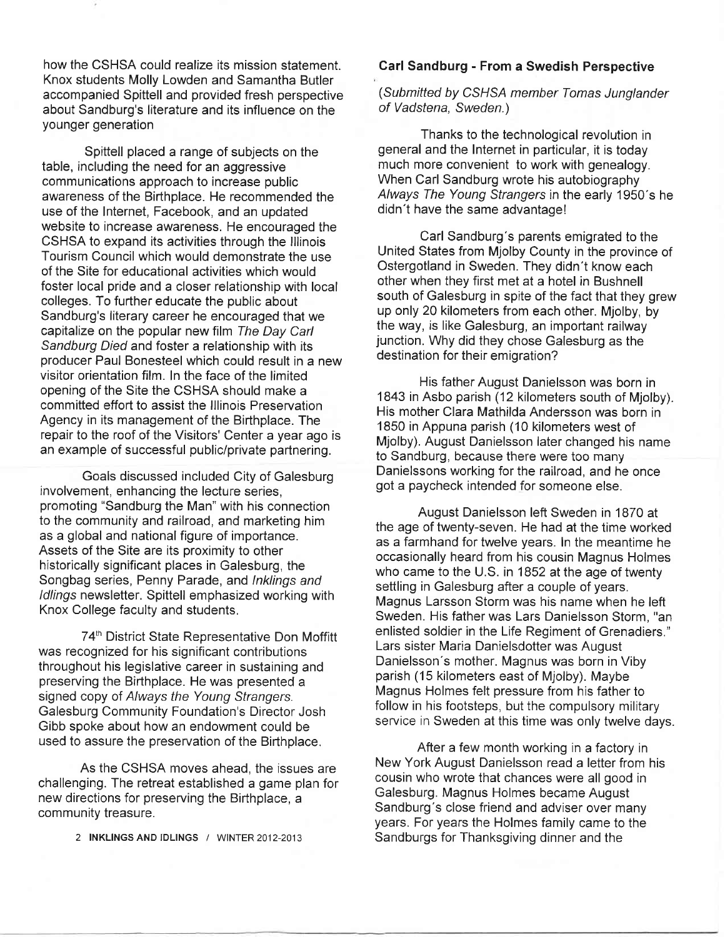how the CSHSA could realize its mission statement. Knox students Molly Lowden and Samantha Butler accompanied Spittell and provided fresh perspective about Sandburg's literature and its influence on the younger generation

Spittell placed a range of subjects on the table, including the need for an aggressive communications approach to increase public awareness of the Birthplace. He recommended the use of the lnternet, Facebook, and an updated website to increase awareness. He encouraged the CSHSA to expand its activities through the lllinois Tourism Council which would demonstrate the use of the Site for educational activities which would foster local pride and a closer relationship with local colleges. To further educate the public about Sandburg's literary career he encouraged that we capitalize on the popular new film The Day Carl Sandburg Died and foster a relationship with its producer Paul Bonesteel which could result in a new visitor orientation film. ln the face of the limited opening of the Site the CSHSA should make a committed effort to assist the lllinois Preservation Agency in its management of the Birthplace. The repair to the roof of the Visitors' Center a year ago is an example of successful public/private partnering.

Goals discussed included City of Galesburg involvement, enhancing the lecture series, promoting "Sandburg the Man" with his connection to the community and railroad, and marketing him as a global and national figure of importance. Assets of the Site are its proximity to other historically significant places in Galesburg, the Songbag series, Penny Parade, and lnklings and ldlings newsletter. Spittell emphasized working with Knox College faculty and students.

74<sup>th</sup> District State Representative Don Moffitt was recognized for his significant contributions throughout his legislative career in sustaining and preserving the Birthplace. He was presented a signed copy of Always the Young Strangers. Galesburg Community Foundation's Director Josh Gibb spoke about how an endowment could be used to assure the preservation of the Birthplace.

As the CSHSA moves ahead, the issues are challenging. The retreat established a game plan for new directions for preserving the Birthplace, a community treasure.

2 INKLINGS AND IDLINGS / WINTER 2012-2013

### Garl Sandburg - From a Swedish Perspective

(Submitted by CSHSA member Tomas Junglander of Vadstena, Sweden.)

Thanks to the technological revolution in general and the lnternet in particular, it is today much more convenient to work with genealogy. When Carl Sandburg wrote his autobiography Always The Young Sfrangers in the early 1950's he didn't have the same advantage!

Carl Sandburg's parents emigrated to the United States from Mjolby County in the province of Ostergotland in Sweden. They didn't know each other when they first met at a hotel in Bushnell south of Galesburg in spite of the fact that they grew up only 20 kilometers from each other. Mjolby, by the way, is like Galesburg, an important railway junction. Why did they chose Galesburg as the destination for their emigration?

His father August Danielsson was born in 1843 in Asbo parish (12 kilometers south of Mjolby). His mother Clara Mathilda Andersson was born in 1850 in Appuna parish (10 kilometers west of Mjolby). August Danielsson later changed his name to Sandburg, because there were too many Danielssons working for the railroad, and he once got a paycheck intended for someone else.

August Danielsson left Sweden in 1870 at the age of twenty-seven. He had at the time worked as a farmhand for twelve years. ln the meantime he occasionally heard from his cousin Magnus Holmes who came to the U.S. in 1852 at the age of twenty settling in Galesburg after a couple of years. Magnus Larsson Storm was his name when he left Sweden. His father was Lars Danielsson Storm, "an enlisted soldier in the Life Regiment of Grenadiers." Lars sister Maria Danielsdotter was August Danielsson's mother. Magnus was born in Viby parish (15 kilometers east of Mjolby). Maybe Magnus Holmes felt pressure from his father to follow in his footsteps, but the compulsory military service in Sweden at this time was only twelve days.

After a few month working in a factory in New York August Danielsson read a letter from his cousin who wrote that chances were all good in Galesburg. Magnus Holmes became August Sandburg's close friend and adviser over many years. For years the Holmes family came to the Sandburgs for Thanksgiving dinner and the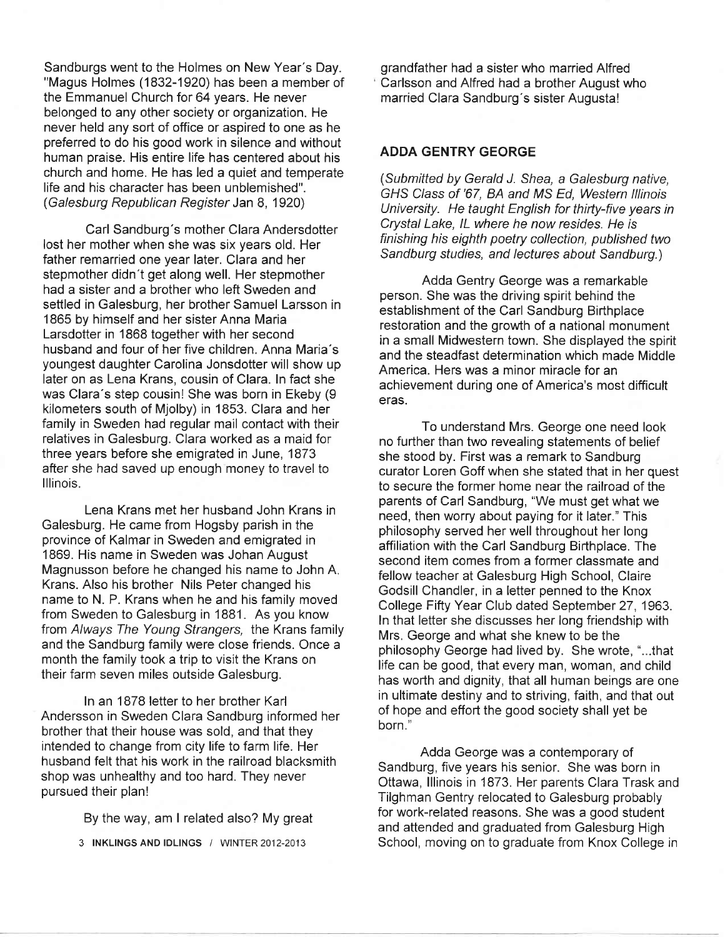Sandburgs went to the Holmes on New Year's Day. "Magus Holmes (1832-1920) has been a member of the Emmanuel Church for 64 years. He never belonged to any other society or organization. He never held any sort of office or aspired to one as he preferred to do his good work in silence and without human praise. His entire life has centered about his church and home. He has led a quiet and temperate life and his character has been unblemished". (Galesburg Republican Regisfer Jan 8, 1920)

Carl Sandburg's mother Clara Andersdotter lost her mother when she was six years old. Her father remarried one year later. Glara and her stepmother didn't get along well. Her stepmother had a sister and a brother who left Sweden and settled in Galesburg, her brother Samuel Larsson in 1865 by himself and her sister Anna Maria Larsdotter in 1868 together with her second husband and four of her five children. Anna Maria's youngest daughter Carolina Jonsdotter will show up later on as Lena Krans, cousin of Clara. ln fact she was Clara's step cousin! She was born in Ekeby (9 kilometers south of Mjolby) in 1853. Clara and her family in Sweden had regular mail contact with their relatives in Galesburg. Clara worked as a maid for three years before she emigrated in June, 1873 after she had saved up enough money to travel to lllinois.

Lena Krans met her husband John Krans in Galesburg. He came from Hogsby parish in the province of Kalmar in Sweden and emigrated in 1869. His name in Sweden was Johan August Magnusson before he changed his name to John A. Krans. Also his brother Nils Peter changed his name to N. P. Krans when he and his family moved from Sweden to Galesburg in 1881. As you know from Always The Young Strangers, the Krans family and the Sandburg family were close friends. Once a month the family took a trip to visit the Krans on their farm seven miles outside Galesburg.

In an 1878 letter to her brother Karl Andersson in Sweden Clara Sandburg informed her brother that their house was sold, and that they intended to change from city life to farm life. Her husband felt that his work in the railroad blacksmith shop was unhealthy and too hard. They never pursued their plan!

By the way, am I related also? My great

3 INKLINGS AND IDLINGS / WINTER 2012-2013

grandfather had a sister who married Alfred Carlsson and Alfred had a brother August who married Clara Sandburg's sister Augusta!

## ADDA GENTRY GEORGE

(Submitted by Gerald J. Shea, a Galesburg native, GHS C/ass of '67, BA and MS Ed, Western lllinois University. He taught English for thirty-five years in Crystal Lake, IL where he now resides. He is finishing his eighth poetry collection, published two Sandburg sfudies, and lectures about Sandburg.)

Adda Gentry George was a remarkable person. She was the driving spirit behind the establishment of the Carl Sandburg Birthplace restoration and the growth of a national monument in a small Midwestern town. She displayed the spirit and the steadfast determination which made Middle America. Hers was a minor miracle for an achievement during one of America's most difficult eras.

To understand Mrs. George one need look no further than two revealing statements of belief she stood by. First was a remark to Sandburg curator Loren Goff when she stated that in her quest to secure the former home near the railroad of the parents of Carl Sandburg, "We must get what we need, then worry about paying for it later." This philosophy served her well throughout her long affiliation with the Carl Sandburg Birthplace. The second item comes from a former classmate and fellow teacher at Galesburg High School, Claire Godsill Chandler, in a letter penned to the Knox College Fifty Year Club dated September 27, 1963. ln that letter she discusses her long friendship with Mrs. George and what she knew to be the philosophy George had lived by. She wrote, "...that life can be good, that every man, woman, and child has worth and dignity, that all human beings are one in ultimate destiny and to striving, faith, and that out of hope and effort the good society shall yet be born."

Adda George was a contemporary of Sandburg, five years his senior. She was born in Ottawa, lllinois in 1873. Her parents Clara Trask and Tilghman Gentry relocated to Galesburg probably for work-related reasons. She was a good student and attended and graduated from Galesburg High School, moving on to graduate from Knox College in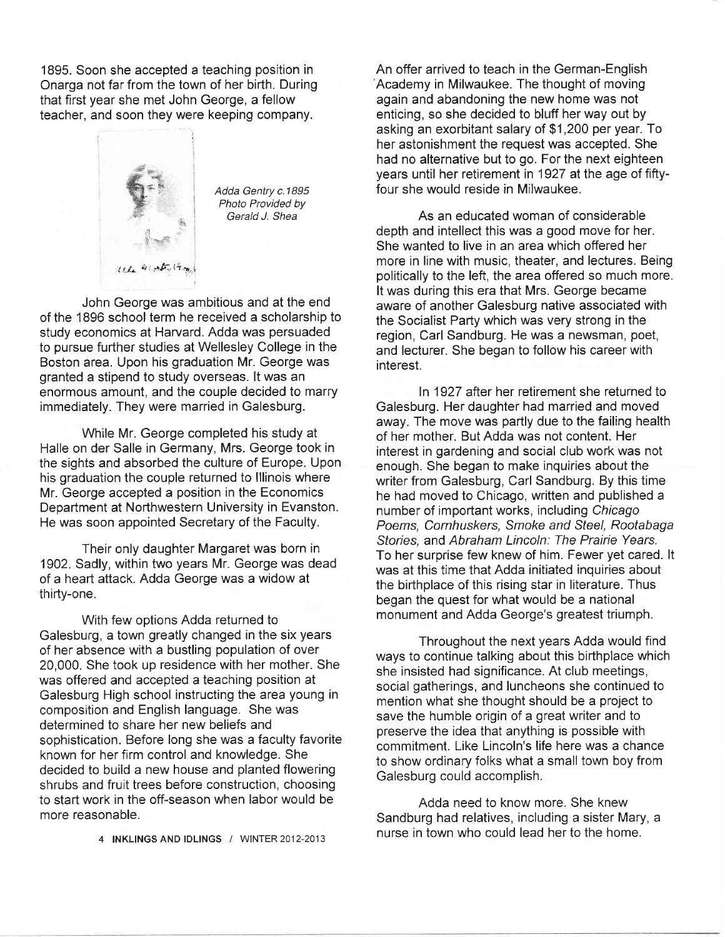1895. Soon she accepted a teaching position in Onarga not far from the town of her birth. During that first year she met John George, a fellow teacher, and soon they were keeping company.



Adda Gentry c.1895 Photo Provided by Gerald J. Shea

John George was ambitious and at the end of the 1896 school term he received a scholarship to study economics at Harvard. Adda was persuaded to pursue further studies at Wellesley College in the Boston area. Upon his graduation Mr. George was granted a stipend to study overseas. lt was an enormous amount, and the couple decided to marry immediately. They were married in Galesburg.

While Mr. George completed his study at Halle on der Salle in Germany, Mrs. George took in the sights and absorbed the culture of Europe. Upon his graduation the couple returned to lllinois where Mr. George accepted a position in the Economics Department at Northwestern University in Evanston. He was soon appointed Secretary of the Faculty.

Their only daughter Margaret was born in 1902. Sadly, within iwo years Mr. George was dead of a heart attack. Adda George was a widow at thirty-one.

With few options Adda returned to Galesburg, a town greatly changed in the six years of her absence with a bustling population of over 20,000. She took up residence with her mother. She was offered and accepted a teaching position at Galesburg High school instructing the area young in composition and English language. She was determined to share her new beliefs and sophistication. Before long she was a faculty favorite known for her firm control and knowledge. She decided to build a new house and planted flowering shrubs and fruit trees before construction, choosing to start work in the off-season when labor would be more reasonable.

An offer arrived to teach in the German-English Academy in Milwaukee. The thought of moving again and abandoning the new home was not enticing, so she decided to bluff her way out by asking an exorbitant salary of \$1,200 per year. To her astonishment the request was accepted. She had no alternative but to go. For the next eighteen years until her retirement in 1927 at the age of fiftyfour she would reside in Milwaukee.

As an educated woman of considerable depth and intellect this was a good move for her. She wanted to live in an area which offered her more in line with music, theater, and lectures. Being politically to the left, the area offered so much more. It was during this era that Mrs. George became aware of another Galesburg native associated with the Socialist Party which was very strong in the region, Carl Sandburg. He was a newsman, poet, and lecturer. She began to follow his career with interest.

ln 1927 after her retirement she returned to Galesburg. Her daughter had married and moved away. The move was partly due to the failing health of her mother. But Adda was not content. Her interest in gardening and social club work was not enough. She began to make inquiries about the writer from Galesburg, Carl Sandburg. By this time he had moved to Chicago, written and published a number of important works, including Chicago Poems, Cornhuskers, Smoke and Steel, Rootabaga Sfories, and Abraham Lincoln: The Prairie Years. To her surprise few knew of him. Fewer yet cared. lt was at this time that Adda initiated inquiries about the birthplace of this rising star in literature. Thus began the quest for what would be a national monument and Adda George's greatest triumph.

Throughout the next years Adda would find ways to continue talking about this birthplace which she insisted had significance. At club meetings, social gatherings, and luncheons she continued to mention what she thought should be a project to save the humble origin of a great writer and to preserve the idea that anything is possible with commitment. Like Lincoln's life here was a chance to show ordinary folks what a small town boy from Galesburg could accomplish.

Adda need to know more. She knew Sandburg had relatives, including a sister Mary, a nurse in town who could lead her to the home. 4 INKLINGS AND IDLINGS / WINTER 2012-2013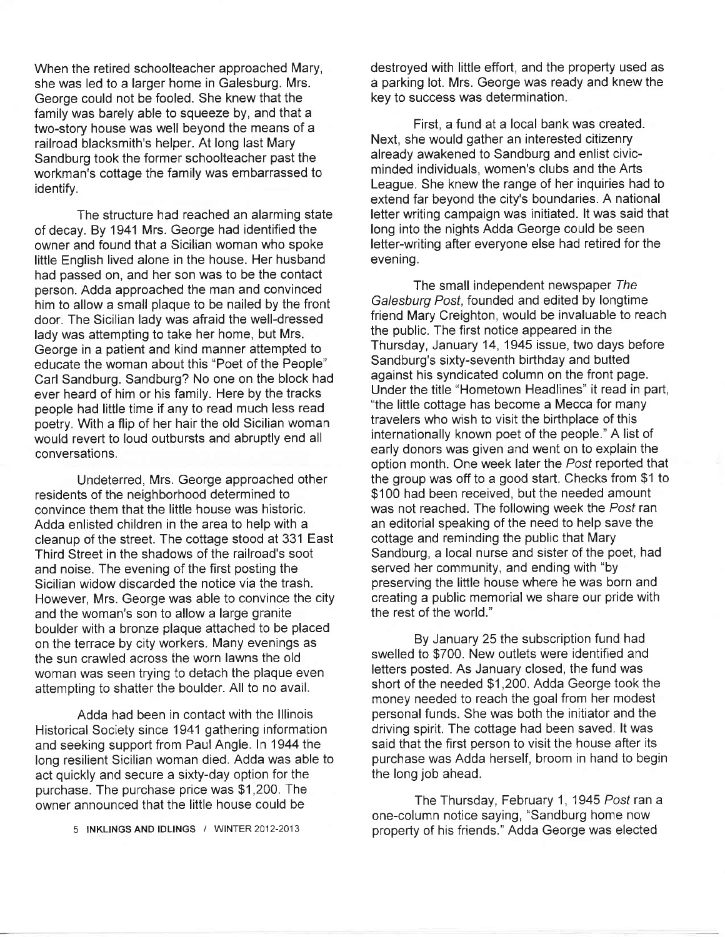When the retired schoolteacher approached Mary, she was led to a larger home in Galesburg. Mrs. George could not be fooled. She knew that the family was barely able to squeeze by, and that a two-story house was well beyond the means of a railroad blacksmith's helper. At long last Mary Sandburg took the former schoolteacher past the workman's cottage the family was embarrassed to identify.

The structure had reached an alarming state of decay. By 1941 Mrs. George had identified the owner and found that a Sicilian woman who spoke little English lived alone in the house. Her husband had passed on, and her son was to be the contact person. Adda approached the man and convinced him to allow a small plaque to be nailed by the front door. The Sicilian lady was afraid the well-dressed lady was attempting to take her home, but Mrs. George in a patient and kind manner attempted to educate the woman about this "Poet of the People" Carl Sandburg. Sandburg? No one on the block had ever heard of him or his family. Here by the tracks people had little time if any to read much less read poetry. With a flip of her hair the old Sicilian woman would revert to loud outbursts and abruptly end all conversations.

Undeterred, Mrs. George approached other residents of the neighborhood determined to convince them that the little house was historic. Adda enlisted children in the area to help with a cleanup of the street. The cottage stood at 331 East Third Street in the shadows of the railroad's soot and noise. The evening of the first posting the Sicilian widow discarded the notice via the trash. However, Mrs. George was able to convince the city and the woman's son to allow a large granite boulder with a bronze plaque attached to be placed on the terrace by city workers. Many evenings as the sun crawled across the worn lawns the old woman was seen trying to detach the plaque even attempting to shatter the boulder. All to no avail.

Adda had been in contact with the lllinois Historical Society since 1941 gathering information and seeking support from PaulAngle. ln 1944 the long resilient Sicilian woman died. Adda was able to act quickly and secure a sixty-day option for the purchase. The purchase price was \$1,200. The owner announced that the little house could be

5 INKLINGS AND IDLINGS / WINTER 2012-2013

destroyed with little effort, and the property used as d parking lot. Mrs. George was ready and knew the key to success was determination.

First, a fund at a local bank was created. Next, she would gather an interested citizenry already awakened to Sandburg and enlist civicminded individuals, women's clubs and the Arts League. She knew the range of her inquiries had to extend far beyond the city's boundaries. A national letter writing campaign was initiated. lt was said that long into the nights Adda George could be seen letter-writing after everyone else had retired for the evening.

The small independent newspaper The Galesburg Posf, founded and edited by longtime friend Mary Creighton, would be invaluable to reach the public. The first notice appeared in the Thursday, January 14, 1945 issue, two days before Sandburg's sixty-seventh birthday and butted against his syndicated column on the front page. Under the title "Hometown Headlines" it read in part, "the little cottage has become a Mecca for many travelers who wish to visit the birthplace of this internationally known poet of the people." A list of early donors was given and went on to explain the option month. One week later the Post reported that the group was off to a good start. Checks from \$1 to \$100 had been received, but the needed amount was not reached. The following week the Posf ran an editorial speaking of the need to help save the cottage and reminding the public that Mary Sandburg, a local nurse and sister of the poet, had served her community, and ending with "by preserving the little house where he was born and creating a public memorial we share our pride with the rest of the world."

By January 25 the subscription fund had swelled to \$700. New outlets were identified and letters posted. As January closed, the fund was short of the needed \$1,200. Adda George took the money needed to reach the goal from her modest personal funds. She was both the initiator and the driving spirit. The cottage had been saved. lt was said that the first person to visit the house after its purchase was Adda herself, broom in hand to begin the long job ahead.

The Thursday, February 1, 1945 Posf ran a one-column notice saying, "Sandburg home now property of his friends." Adda George was elected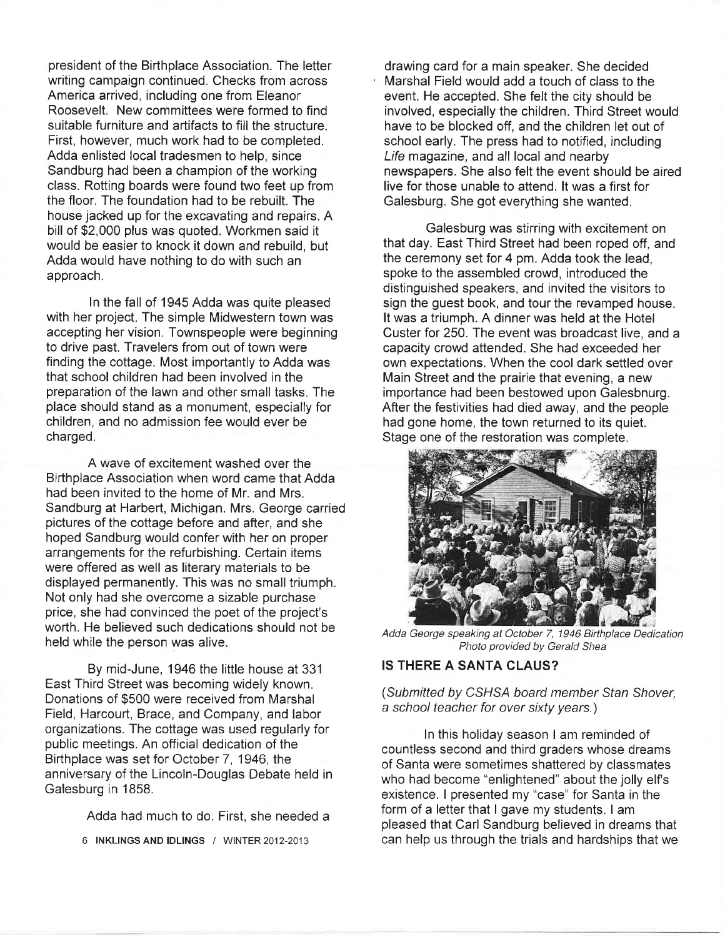president of the Birthplace Association. The letter writing campaign continued. Checks from across America arrived, including one from Eleanor Roosevelt. New committees were formed to find suitable furniture and artifacts to fill the structure. First, however, much work had to be completed. Adda enlisted local tradesmen to help, since Sandburg had been a champion of the working class. Rotting boards were found two feet up from the floor. The foundation had to be rebuilt. The house jacked up for the excavating and repairs. A bill of \$2,000 plus was quoted. Workmen said it would be easier to knock it down and rebuild, but Adda would have nothing to do with such an approach.

ln the fall of 1945 Adda was quite pleased with her project. The simple Midwestern town was accepting her vision. Townspeople were beginning to drive past. Travelers from out of town were finding the cottage. Most importantly to Adda was that school children had been involved in the preparation of the lawn and other small tasks. The place should stand as a monument, especially for children, and no admission fee would ever be charged.

A wave of excitement washed over the Birthplace Association when word came that Adda had been invited to the home of Mr. and Mrs. Sandburg at Harbert, Michigan. Mrs. George carried pictures of the cottage before and after, and she hoped Sandburg would confer with her on proper arrangements for the refurbishing. Certain items were offered as well as literary materials to be displayed permanently. This was no small triumph. Not only had she overcome a sizable purchase price, she had convinced the poet of the project's worth. He believed such dedications should not be held while the person was alive.

By mid-June, 1946 the little house at 331 East Third Street was becoming widely known. Donations of \$500 were received from Marshal Field, Harcourt, Brace, and Company, and labor organizations. The cottage was used regularly for public meetings. An official dedication of the Birthplace was set for October 7, 1946, the anniversary of the Lincoln-Douglas Debate held in Galesburg in 1858.

Adda had much to do. First, she needed a

6 INKLINGS AND IDLINGS / WINTER 2012-2013

drawing card for a main speaker. She decided Marshal Field would add a touch of class to the event. He accepted. She felt the city should be involved, especially the children. Third Street would have to be blocked off, and the children let out of school early. The press had to notified, including Life magazine, and all local and nearby newspapers. She also felt the event should be aired live for those unable to attend. lt was a first for Galesburg. She got everything she wanted.

Galesburg was stirring with excitement on that day. East Third Street had been roped off, and the ceremony set for 4 pm. Adda took the lead, spoke to the assembled crowd, introduced the distinguished speakers, and invited the visitors to sign the guest book, and tour the revamped house. It was a triumph. A dinner was held at the Hotel Custer for 250. The event was broadcast live, and a capacity crowd attended. She had exceeded her own expectations. When the cool dark settled over Main Street and the prairie that evening, a new importance had been bestowed upon Galesbnurg. After the festivities had died away, and the people had gone home, the town returned to its quiet. Stage one of the restoration was complete.



Adda George speaking at October 7, 1946 Birthplace Dedication Photo provided by Gerald Shea

#### IS THERE A SANTA CLAUS?

(Submitted by CSHSA board member Stan Shover, a school teacher for over sixty years.)

ln this holiday season I am reminded of countless second and third graders whose dreams of Santa were sometimes shattered by classmates who had become "enlightened" about the jolly elf's existence. I presented my "case" for Santa in the form of a letter that I gave my students. I am pleased that Carl Sandburg believed in dreams that can help us through the trials and hardships that we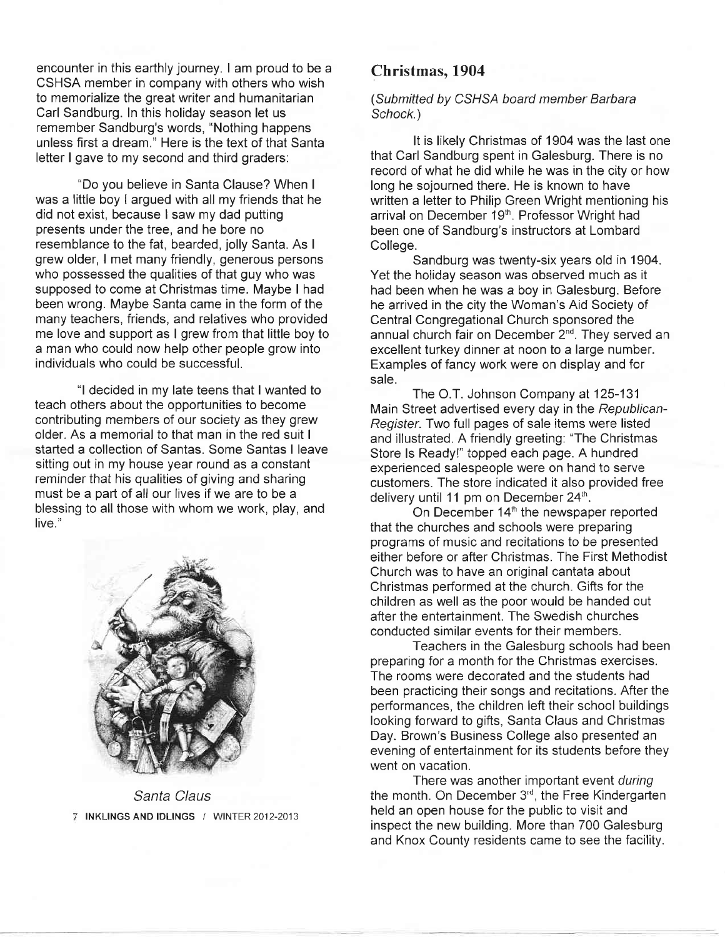encounter in this earthly journey. I am proud to be a CSHSA member in company with others who wish to memorialize the great writer and humanitarian Carl Sandburg. ln this holiday season let us remember Sandburg's words, "Nothing happens unless first a dream." Here is the text of that Santa letter I gave to my second and third graders:

"Do you believe in Santa Clause? When <sup>I</sup> was a little boy I argued with all my friends that he did not exist, because I saw my dad putting presents under the tree, and he bore no resemblance to the fat, bearded, jolly Santa. As <sup>I</sup> grew older, I met many friendly, generous persons who possessed the qualities of that guy who was supposed to come at Christmas time. Maybe I had been wrong. Maybe Santa came in the form of the many teachers, friends, and relatives who provided me love and support as I grew from that little boy to a man who could now help other people grow into individuals who could be successful.

"l decided in my late teens that I wanted to teach others about the opportunities to become contributing members of our society as they grew older. As a memorial to that man in the red suit <sup>I</sup> started a collection of Santas. Some Santas I leave sitting out in my house year round as a constant reminder that his qualities of giving and sharing must be a part of all our lives if we are to be a blessing to all those with whom we work, play, and live."



Santa Claus INKLINGS AND IDLINGS / WINTER 2012-2013

# Christmas, 1904

(Submitted by CSHSA board member Barbara Schock.)

It is likely Christmas of 1904 was the last one that Carl Sandburg spent in Galesburg. There is no record of what he did while he was in the city or how long he sojourned there. He is known to have written a letter to Philip Green Wright mentioning his arrival on December 19<sup>th</sup>. Professor Wright had been one of Sandburg's instructors at Lombard College.

Sandburg was twenty-six years old in 1904. Yet the holiday season was observed much as it had been when he was a boy in Galesburg. Before he arrived in the city the Woman's Aid Society of Central Congregational Church sponsored the annual church fair on December 2<sup>nd</sup>. They served an excellent turkey dinner at noon to a large number. Examples of fancy work were on display and for sale.

The O.T. Johnson Company at 125-131 Main Street advertised every day in the Republican-Register. Two full pages of sale items were listed and illustrated. A friendly greeting: "The Christmas Store ls Ready!" topped each page. A hundred experienced salespeople were on hand to serve customers. The store indicated it also provided free delivery until 11 pm on December  $24<sup>th</sup>$ .

On December 14<sup>th</sup> the newspaper reported that the churches and schools were preparing programs of music and recitations to be presented either before or after Christmas. The First Methodist Church was to have an original cantata about Christmas performed at the church. Gifts for the children as well as the poor would be handed out after the entertainment. The Swedish churches conducted similar events for their members.

Teachers in the Galesburg schools had been preparing for a month for the Christmas exercises. The rooms were decorated and the students had been practicing their songs and recitations. After the performances, the children left their school buildings looking forward to gifts, Santa Claus and Christmas Day. Brown's Business College also presented an evening of entertainment for its students before they went on vacation.

There was another important event during the month. On December 3<sup>rd</sup>, the Free Kindergarten held an open house for the public to visit and inspect the new building. More than 700 Galesburg and Knox County residents came to see the facility.